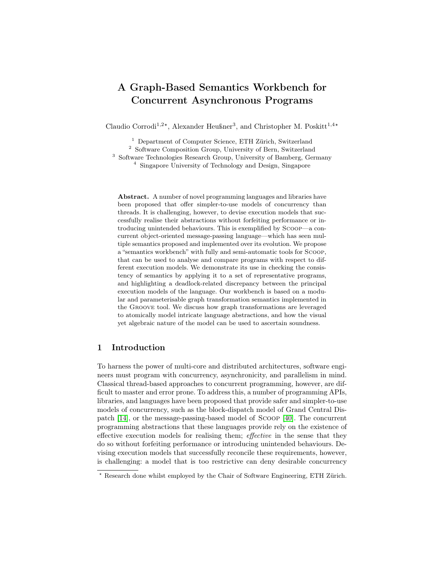# A Graph-Based Semantics Workbench for Concurrent Asynchronous Programs

Claudio Corrodi<sup>1,2\*</sup>, Alexander Heußner<sup>3</sup>, and Christopher M. Poskitt<sup>1,4\*</sup>

 $^{\rm 1}$  Department of Computer Science, ETH Zürich, Switzerland

<sup>2</sup> Software Composition Group, University of Bern, Switzerland

<sup>3</sup> Software Technologies Research Group, University of Bamberg, Germany

<sup>4</sup> Singapore University of Technology and Design, Singapore

Abstract. A number of novel programming languages and libraries have been proposed that offer simpler-to-use models of concurrency than threads. It is challenging, however, to devise execution models that successfully realise their abstractions without forfeiting performance or introducing unintended behaviours. This is exemplified by Scoop—a concurrent object-oriented message-passing language—which has seen multiple semantics proposed and implemented over its evolution. We propose a "semantics workbench" with fully and semi-automatic tools for Scoop, that can be used to analyse and compare programs with respect to different execution models. We demonstrate its use in checking the consistency of semantics by applying it to a set of representative programs, and highlighting a deadlock-related discrepancy between the principal execution models of the language. Our workbench is based on a modular and parameterisable graph transformation semantics implemented in the Groove tool. We discuss how graph transformations are leveraged to atomically model intricate language abstractions, and how the visual yet algebraic nature of the model can be used to ascertain soundness.

### 1 Introduction

To harness the power of multi-core and distributed architectures, software engineers must program with concurrency, asynchronicity, and parallelism in mind. Classical thread-based approaches to concurrent programming, however, are difficult to master and error prone. To address this, a number of programming APIs, libraries, and languages have been proposed that provide safer and simpler-to-use models of concurrency, such as the block-dispatch model of Grand Central Dispatch [\[14\]](#page-15-0), or the message-passing-based model of Scoop [\[40\]](#page-16-0). The concurrent programming abstractions that these languages provide rely on the existence of effective execution models for realising them; effective in the sense that they do so without forfeiting performance or introducing unintended behaviours. Devising execution models that successfully reconcile these requirements, however, is challenging: a model that is too restrictive can deny desirable concurrency

<sup>?</sup> Research done whilst employed by the Chair of Software Engineering, ETH Zürich.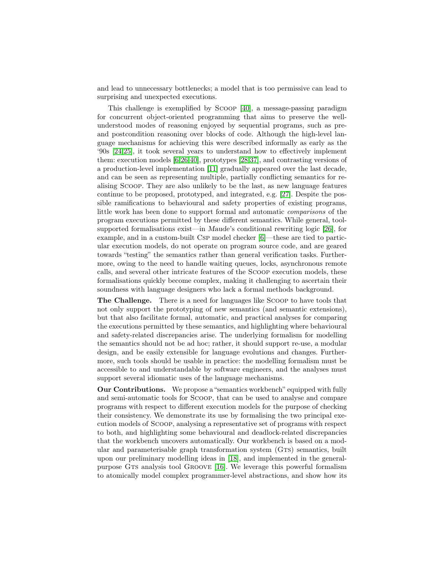and lead to unnecessary bottlenecks; a model that is too permissive can lead to surprising and unexpected executions.

This challenge is exemplified by Scoop [\[40\]](#page-16-0), a message-passing paradigm for concurrent object-oriented programming that aims to preserve the wellunderstood modes of reasoning enjoyed by sequential programs, such as preand postcondition reasoning over blocks of code. Although the high-level language mechanisms for achieving this were described informally as early as the '90s [\[24](#page-16-1)[,25\]](#page-16-2), it took several years to understand how to effectively implement them: execution models [\[6,](#page-15-1)[26](#page-16-3)[,40\]](#page-16-0), prototypes [\[28,](#page-16-4)[37\]](#page-16-5), and contrasting versions of a production-level implementation [\[11\]](#page-15-2) gradually appeared over the last decade, and can be seen as representing multiple, partially conflicting semantics for realising Scoop. They are also unlikely to be the last, as new language features continue to be proposed, prototyped, and integrated, e.g. [\[27\]](#page-16-6). Despite the possible ramifications to behavioural and safety properties of existing programs, little work has been done to support formal and automatic comparisons of the program executions permitted by these different semantics. While general, toolsupported formalisations exist—in Maude's conditional rewriting logic [\[26\]](#page-16-3), for example, and in a custom-built Csp model checker [\[6\]](#page-15-1)—these are tied to particular execution models, do not operate on program source code, and are geared towards "testing" the semantics rather than general verification tasks. Furthermore, owing to the need to handle waiting queues, locks, asynchronous remote calls, and several other intricate features of the Scoop execution models, these formalisations quickly become complex, making it challenging to ascertain their soundness with language designers who lack a formal methods background.

The Challenge. There is a need for languages like Scoop to have tools that not only support the prototyping of new semantics (and semantic extensions), but that also facilitate formal, automatic, and practical analyses for comparing the executions permitted by these semantics, and highlighting where behavioural and safety-related discrepancies arise. The underlying formalism for modelling the semantics should not be ad hoc; rather, it should support re-use, a modular design, and be easily extensible for language evolutions and changes. Furthermore, such tools should be usable in practice: the modelling formalism must be accessible to and understandable by software engineers, and the analyses must support several idiomatic uses of the language mechanisms.

Our Contributions. We propose a "semantics workbench" equipped with fully and semi-automatic tools for Scoop, that can be used to analyse and compare programs with respect to different execution models for the purpose of checking their consistency. We demonstrate its use by formalising the two principal execution models of Scoop, analysing a representative set of programs with respect to both, and highlighting some behavioural and deadlock-related discrepancies that the workbench uncovers automatically. Our workbench is based on a modular and parameterisable graph transformation system (GTS) semantics, built upon our preliminary modelling ideas in [\[18\]](#page-15-3), and implemented in the general-purpose GTS analysis tool GROOVE [\[16\]](#page-15-4). We leverage this powerful formalism to atomically model complex programmer-level abstractions, and show how its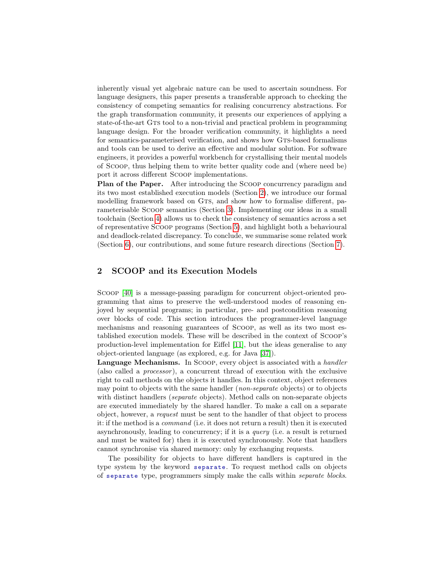inherently visual yet algebraic nature can be used to ascertain soundness. For language designers, this paper presents a transferable approach to checking the consistency of competing semantics for realising concurrency abstractions. For the graph transformation community, it presents our experiences of applying a state-of-the-art GTs tool to a non-trivial and practical problem in programming language design. For the broader verification community, it highlights a need for semantics-parameterised verification, and shows how GTS-based formalisms and tools can be used to derive an effective and modular solution. For software engineers, it provides a powerful workbench for crystallising their mental models of Scoop, thus helping them to write better quality code and (where need be) port it across different Scoop implementations.

Plan of the Paper. After introducing the Scoop concurrency paradigm and its two most established execution models (Section [2\)](#page-2-0), we introduce our formal modelling framework based on GTS, and show how to formalise different, parameterisable Scoop semantics (Section [3\)](#page-4-0). Implementing our ideas in a small toolchain (Section [4\)](#page-8-0) allows us to check the consistency of semantics across a set of representative Scoop programs (Section [5\)](#page-9-0), and highlight both a behavioural and deadlock-related discrepancy. To conclude, we summarise some related work (Section [6\)](#page-12-0), our contributions, and some future research directions (Section [7\)](#page-14-0).

## <span id="page-2-0"></span>2 SCOOP and its Execution Models

Scoop [\[40\]](#page-16-0) is a message-passing paradigm for concurrent object-oriented programming that aims to preserve the well-understood modes of reasoning enjoyed by sequential programs; in particular, pre- and postcondition reasoning over blocks of code. This section introduces the programmer-level language mechanisms and reasoning guarantees of Scoop, as well as its two most established execution models. These will be described in the context of Scoop's production-level implementation for Eiffel [\[11\]](#page-15-2), but the ideas generalise to any object-oriented language (as explored, e.g. for Java [\[37\]](#page-16-5)).

Language Mechanisms. In SCOOP, every object is associated with a handler (also called a processor ), a concurrent thread of execution with the exclusive right to call methods on the objects it handles. In this context, object references may point to objects with the same handler (non-separate objects) or to objects with distinct handlers *(separate objects)*. Method calls on non-separate objects are executed immediately by the shared handler. To make a call on a separate object, however, a request must be sent to the handler of that object to process it: if the method is a command (i.e. it does not return a result) then it is executed asynchronously, leading to concurrency; if it is a query (i.e. a result is returned and must be waited for) then it is executed synchronously. Note that handlers cannot synchronise via shared memory: only by exchanging requests.

The possibility for objects to have different handlers is captured in the type system by the keyword separate. To request method calls on objects of separate type, programmers simply make the calls within separate blocks.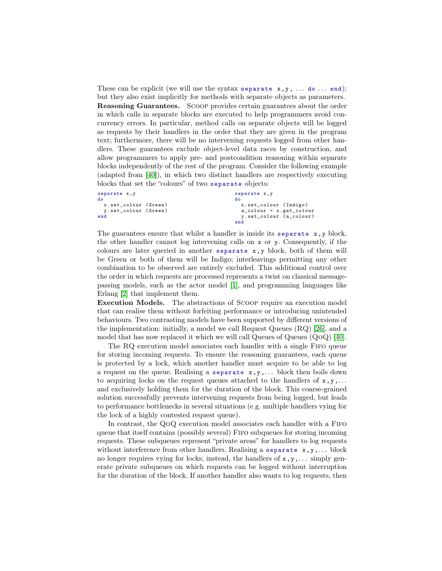These can be explicit (we will use the syntax separate  $x, y, \ldots$  do  $\ldots$  end); but they also exist implicitly for methods with separate objects as parameters. Reasoning Guarantees. Scoop provides certain guarantees about the order in which calls in separate blocks are executed to help programmers avoid concurrency errors. In particular, method calls on separate objects will be logged as requests by their handlers in the order that they are given in the program text; furthermore, there will be no intervening requests logged from other handlers. These guarantees exclude object-level data races by construction, and allow programmers to apply pre- and postcondition reasoning within separate blocks independently of the rest of the program. Consider the following example (adapted from [\[40\]](#page-16-0)), in which two distinct handlers are respectively executing blocks that set the "colours" of two separate objects:

```
separate x, y
do
  x. set_colour ( Green )
  y. set_colour ( Green )
end
                                                            separate x , y
                                                            do
                                                              x. set_colour ( Indigo )
                                                               a_colour = x. get_colour
y. set_colour ( a_colour )
                                                            end
```
The guarantees ensure that whilst a handler is inside its separate x, y block, the other handler cannot log intervening calls on x or y. Consequently, if the colours are later queried in another separate  $x, y$  block, both of them will be Green or both of them will be Indigo; interleavings permitting any other combination to be observed are entirely excluded. This additional control over the order in which requests are processed represents a twist on classical messagepassing models, such as the actor model [\[1\]](#page-15-5), and programming languages like Erlang [\[2\]](#page-15-6) that implement them.

Execution Models. The abstractions of Scoop require an execution model that can realise them without forfeiting performance or introducing unintended behaviours. Two contrasting models have been supported by different versions of the implementation: initially, a model we call Request Queues (RQ) [\[26\]](#page-16-3), and a model that has now replaced it which we will call Queues of Queues (QoQ) [\[40\]](#page-16-0).

The RQ execution model associates each handler with a single Fifo queue for storing incoming requests. To ensure the reasoning guarantees, each queue is protected by a lock, which another handler must acquire to be able to log a request on the queue. Realising a separate  $x, y, \ldots$  block then boils down to acquiring locks on the request queues attached to the handlers of  $x, y, \ldots$ and exclusively holding them for the duration of the block. This coarse-grained solution successfully prevents intervening requests from being logged, but leads to performance bottlenecks in several situations (e.g. multiple handlers vying for the lock of a highly contested request queue).

In contrast, the QoQ execution model associates each handler with a Fifo queue that itself contains (possibly several) Fifo subqueues for storing incoming requests. These subqueues represent "private areas" for handlers to log requests without interference from other handlers. Realising a separate  $x, y, \ldots$  block no longer requires vying for locks; instead, the handlers of  $x, y, \ldots$  simply generate private subqueues on which requests can be logged without interruption for the duration of the block. If another handler also wants to log requests, then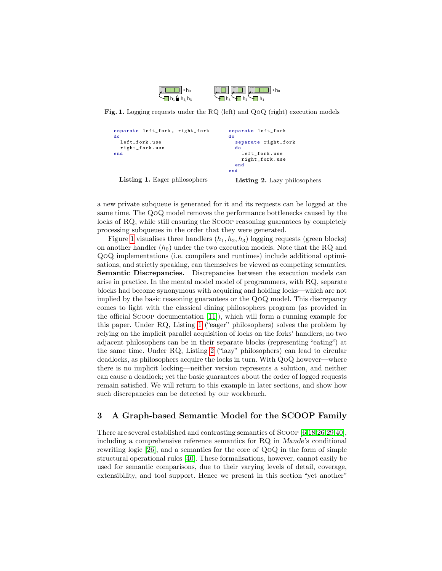

**Fig. 1.** Logging requests under the RQ (left) and QoQ (right) execution models

```
separate left_fork , right_fork
do
  left_fork . use
 right_fork . use
end
 Listing 1. Eager philosophers
                                        separate left_fork
                                        do
                                          separate right_fork
                                          do
                                            left fork.use
                                            right_fork . use
                                          end
                                        end
                                          Listing 2. Lazy philosophers
```
a new private subqueue is generated for it and its requests can be logged at the same time. The QoQ model removes the performance bottlenecks caused by the locks of RQ, while still ensuring the Scoop reasoning guarantees by completely processing subqueues in the order that they were generated.

Figure [1](#page-4-1) visualises three handlers  $(h_1, h_2, h_3)$  logging requests (green blocks) on another handler  $(h_0)$  under the two execution models. Note that the RQ and QoQ implementations (i.e. compilers and runtimes) include additional optimisations, and strictly speaking, can themselves be viewed as competing semantics. Semantic Discrepancies. Discrepancies between the execution models can arise in practice. In the mental model model of programmers, with RQ, separate blocks had become synonymous with acquiring and holding locks—which are not implied by the basic reasoning guarantees or the QoQ model. This discrepancy comes to light with the classical dining philosophers program (as provided in the official Scoop documentation [\[11\]](#page-15-2)), which will form a running example for this paper. Under RQ, Listing [1](#page-4-2) ("eager" philosophers) solves the problem by relying on the implicit parallel acquisition of locks on the forks' handlers; no two adjacent philosophers can be in their separate blocks (representing "eating") at the same time. Under RQ, Listing [2](#page-4-3) ("lazy" philosophers) can lead to circular deadlocks, as philosophers acquire the locks in turn. With QoQ however—where there is no implicit locking—neither version represents a solution, and neither can cause a deadlock; yet the basic guarantees about the order of logged requests remain satisfied. We will return to this example in later sections, and show how such discrepancies can be detected by our workbench.

## <span id="page-4-0"></span>3 A Graph-based Semantic Model for the SCOOP Family

There are several established and contrasting semantics of Scoop [\[6](#page-15-1)[,18,](#page-15-3)[26,](#page-16-3)[29](#page-16-7)[,40\]](#page-16-0), including a comprehensive reference semantics for RQ in Maude's conditional rewriting logic [\[26\]](#page-16-3), and a semantics for the core of QoQ in the form of simple structural operational rules [\[40\]](#page-16-0). These formalisations, however, cannot easily be used for semantic comparisons, due to their varying levels of detail, coverage, extensibility, and tool support. Hence we present in this section "yet another"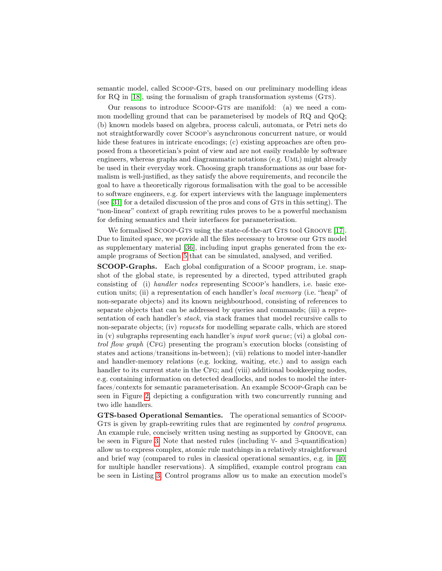semantic model, called SCOOP-GTS, based on our preliminary modelling ideas for  $RQ$  in [\[18\]](#page-15-3), using the formalism of graph transformation systems (GTs).

Our reasons to introduce SCOOP-GTS are manifold: (a) we need a common modelling ground that can be parameterised by models of RQ and QoQ; (b) known models based on algebra, process calculi, automata, or Petri nets do not straightforwardly cover Scoop's asynchronous concurrent nature, or would hide these features in intricate encodings; (c) existing approaches are often proposed from a theoretician's point of view and are not easily readable by software engineers, whereas graphs and diagrammatic notations (e.g. Uml) might already be used in their everyday work. Choosing graph transformations as our base formalism is well-justified, as they satisfy the above requirements, and reconcile the goal to have a theoretically rigorous formalisation with the goal to be accessible to software engineers, e.g. for expert interviews with the language implementers (see  $[31]$  for a detailed discussion of the pros and cons of GTs in this setting). The "non-linear" context of graph rewriting rules proves to be a powerful mechanism for defining semantics and their interfaces for parameterisation.

We formalised SCOOP-GTS using the state-of-the-art GTS tool GROOVE [\[17\]](#page-15-7). Due to limited space, we provide all the files necessary to browse our GTS model as supplementary material [\[36\]](#page-16-9), including input graphs generated from the example programs of Section [5](#page-9-0) that can be simulated, analysed, and verified.

SCOOP-Graphs. Each global configuration of a Scoop program, i.e. snapshot of the global state, is represented by a directed, typed attributed graph consisting of (i) handler nodes representing Scoop's handlers, i.e. basic execution units; (ii) a representation of each handler's local memory (i.e. "heap" of non-separate objects) and its known neighbourhood, consisting of references to separate objects that can be addressed by queries and commands; (iii) a representation of each handler's stack, via stack frames that model recursive calls to non-separate objects; (iv) requests for modelling separate calls, which are stored in (v) subgraphs representing each handler's input work queue; (vi) a global control flow graph (Cfg) presenting the program's execution blocks (consisting of states and actions/transitions in-between); (vii) relations to model inter-handler and handler-memory relations (e.g. locking, waiting, etc.) and to assign each handler to its current state in the CFG; and (viii) additional bookkeeping nodes, e.g. containing information on detected deadlocks, and nodes to model the interfaces/contexts for semantic parameterisation. An example Scoop-Graph can be seen in Figure [2,](#page-6-0) depicting a configuration with two concurrently running and two idle handlers.

GTS-based Operational Semantics. The operational semantics of Scoop-GTS is given by graph-rewriting rules that are regimented by *control programs*. An example rule, concisely written using nesting as supported by Groove, can be seen in Figure [3.](#page-7-0) Note that nested rules (including ∀- and ∃-quantification) allow us to express complex, atomic rule matchings in a relatively straightforward and brief way (compared to rules in classical operational semantics, e.g. in [\[40\]](#page-16-0) for multiple handler reservations). A simplified, example control program can be seen in Listing [3.](#page-7-1) Control programs allow us to make an execution model's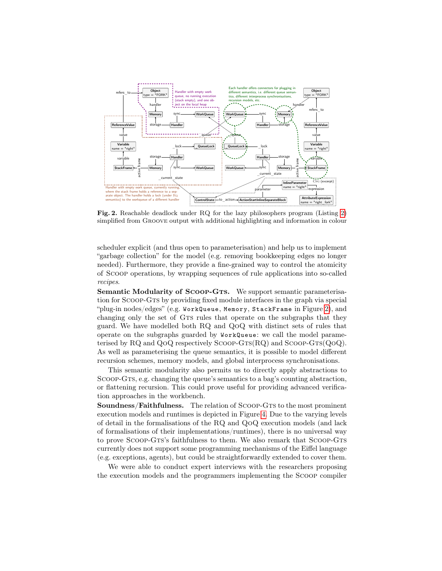

<span id="page-6-0"></span>Fig. 2. Reachable deadlock under RQ for the lazy philosophers program (Listing [2\)](#page-4-3) simplified from Groove output with additional highlighting and information in colour

scheduler explicit (and thus open to parameterisation) and help us to implement "garbage collection" for the model (e.g. removing bookkeeping edges no longer needed). Furthermore, they provide a fine-grained way to control the atomicity of Scoop operations, by wrapping sequences of rule applications into so-called recipes.

Semantic Modularity of SCOOP-GTS. We support semantic parameterisation for SCOOP-GTS by providing fixed module interfaces in the graph via special "plug-in nodes/edges" (e.g. WorkQueue, Memory, StackFrame in Figure [2\)](#page-6-0), and changing only the set of GTs rules that operate on the subgraphs that they guard. We have modelled both RQ and QoQ with distinct sets of rules that operate on the subgraphs guarded by WorkQueue: we call the model parameterised by RQ and QoQ respectively  $SCOOP-GTS(RQ)$  and  $SCOOP-GTS(QoQ)$ . As well as parameterising the queue semantics, it is possible to model different recursion schemes, memory models, and global interprocess synchronisations.

This semantic modularity also permits us to directly apply abstractions to Scoop-Gts, e.g. changing the queue's semantics to a bag's counting abstraction, or flattening recursion. This could prove useful for providing advanced verification approaches in the workbench.

Soundness/Faithfulness. The relation of SCOOP-GTs to the most prominent execution models and runtimes is depicted in Figure [4.](#page-7-2) Due to the varying levels of detail in the formalisations of the RQ and QoQ execution models (and lack of formalisations of their implementations/runtimes), there is no universal way to prove SCOOP-GTS's faithfulness to them. We also remark that SCOOP-GTS currently does not support some programming mechanisms of the Eiffel language (e.g. exceptions, agents), but could be straightforwardly extended to cover them.

We were able to conduct expert interviews with the researchers proposing the execution models and the programmers implementing the Scoop compiler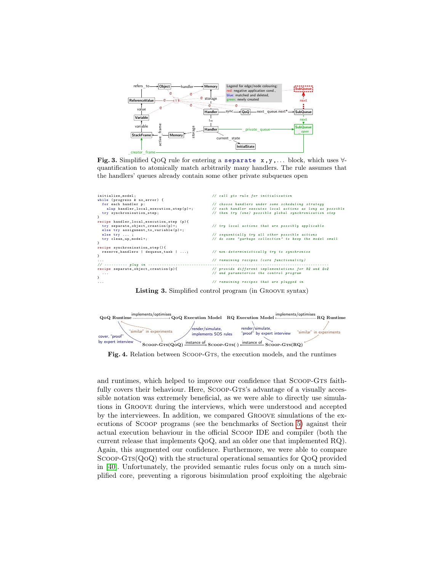

<span id="page-7-0"></span>Fig. 3. Simplified QoQ rule for entering a separate x ,y ,. . . block, which uses ∀ quantification to atomically match arbitrarily many handlers. The rule assumes that the handlers' queues already contain some other private subqueues open

<span id="page-7-1"></span>

| initialize_model;                        | // call gts rule for initialisation                        |
|------------------------------------------|------------------------------------------------------------|
| while (progress $\&$ no_error) {         |                                                            |
| for each handler p:                      | // choose handlers under some scheduling strategy          |
| alap handler_local_execution_step(p)+;   | // each handler executes local actions as long as possible |
| try synchronisation_step;                | // then try (one) possible global synchronisation step     |
| ł.                                       |                                                            |
| recipe handler_local_execution_step (p){ |                                                            |
| try separate_object_creation(p)+;        | // try local actions that are possibly applicable          |
| else try assignment_to_variable(p)+;     |                                                            |
| else $try \ldots$                        | // sequentially try all other possible actions             |
| try clean_up_model+;                     | // do some "garbage collection" to keep the model small    |
| J.                                       |                                                            |
| recipe synchronisation_step(){           |                                                            |
| reserve_handlers   dequeue_task   ;      | // non-deterministically try to synchronise                |
| $\ddot{\phantom{1}}$                     |                                                            |
| $\cdots$                                 | // remaining recipes (core functionality)                  |
| $//$ plug in                             |                                                            |
| recipe separate_object_creation(p){      | // provide different implementations for RQ and QoQ        |
| $\cdots$                                 | // and parameterise the control program                    |
| $\mathcal{F}$                            |                                                            |
| $\cdots$                                 | // remaining recipes that are plugged in                   |
|                                          |                                                            |

Listing 3. Simplified control program (in Groove syntax)



<span id="page-7-2"></span>Fig. 4. Relation between Scoop-GTs, the execution models, and the runtimes

and runtimes, which helped to improve our confidence that SCOOP-GTS faithfully covers their behaviour. Here, SCOOP-GTS's advantage of a visually accessible notation was extremely beneficial, as we were able to directly use simulations in Groove during the interviews, which were understood and accepted by the interviewees. In addition, we compared Groove simulations of the executions of Scoop programs (see the benchmarks of Section [5\)](#page-9-0) against their actual execution behaviour in the official Scoop IDE and compiler (both the current release that implements QoQ, and an older one that implemented RQ). Again, this augmented our confidence. Furthermore, we were able to compare  $S$ COOP-GTS( $Q$ OQ) with the structural operational semantics for  $Q$ OQ provided in [\[40\]](#page-16-0). Unfortunately, the provided semantic rules focus only on a much simplified core, preventing a rigorous bisimulation proof exploiting the algebraic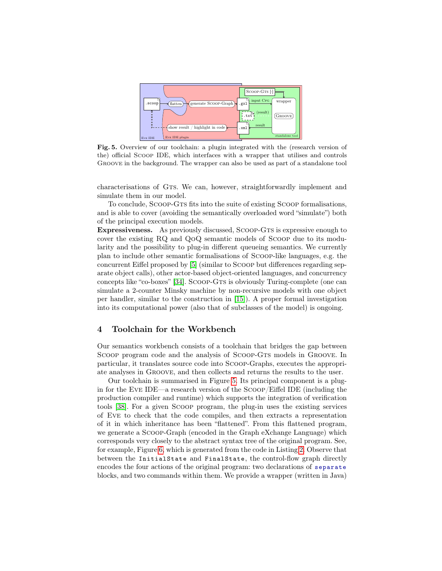

<span id="page-8-1"></span>Fig. 5. Overview of our toolchain: a plugin integrated with the (research version of the) official Scoop IDE, which interfaces with a wrapper that utilises and controls Groove in the background. The wrapper can also be used as part of a standalone tool

characterisations of GTs. We can, however, straightforwardly implement and simulate them in our model.

To conclude, Scoop-Gts fits into the suite of existing Scoop formalisations, and is able to cover (avoiding the semantically overloaded word "simulate") both of the principal execution models.

Expressiveness. As previously discussed, SCOOP-GTS is expressive enough to cover the existing RQ and QoQ semantic models of Scoop due to its modularity and the possibility to plug-in different queueing semantics. We currently plan to include other semantic formalisations of Scoop-like languages, e.g. the concurrent Eiffel proposed by [\[5\]](#page-15-8) (similar to Scoop but differences regarding separate object calls), other actor-based object-oriented languages, and concurrency concepts like "co-boxes" [\[34\]](#page-16-10). SCOOP-GTS is obviously Turing-complete (one can simulate a 2-counter Minsky machine by non-recursive models with one object per handler, similar to the construction in [\[15\]](#page-15-9)). A proper formal investigation into its computational power (also that of subclasses of the model) is ongoing.

## <span id="page-8-0"></span>4 Toolchain for the Workbench

Our semantics workbench consists of a toolchain that bridges the gap between SCOOP program code and the analysis of SCOOP-GTS models in GROOVE. In particular, it translates source code into Scoop-Graphs, executes the appropriate analyses in Groove, and then collects and returns the results to the user.

Our toolchain is summarised in Figure [5.](#page-8-1) Its principal component is a plugin for the Eve IDE—a research version of the Scoop/Eiffel IDE (including the production compiler and runtime) which supports the integration of verification tools [\[38\]](#page-16-11). For a given Scoop program, the plug-in uses the existing services of Eve to check that the code compiles, and then extracts a representation of it in which inheritance has been "flattened". From this flattened program, we generate a Scoop-Graph (encoded in the Graph eXchange Language) which corresponds very closely to the abstract syntax tree of the original program. See, for example, Figure [6,](#page-9-1) which is generated from the code in Listing [2.](#page-4-3) Observe that between the InitialState and FinalState, the control-flow graph directly encodes the four actions of the original program: two declarations of separate blocks, and two commands within them. We provide a wrapper (written in Java)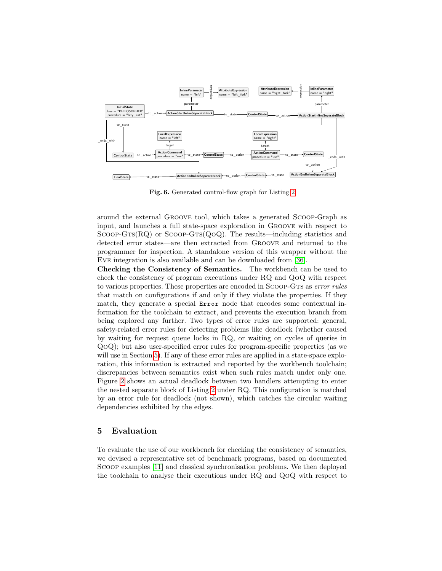

<span id="page-9-1"></span>Fig. 6. Generated control-flow graph for Listing [2](#page-4-3)

around the external Groove tool, which takes a generated Scoop-Graph as input, and launches a full state-space exploration in Groove with respect to SCOOP-GTS( $RQ$ ) or SCOOP-GTS( $QOQ$ ). The results—including statistics and detected error states—are then extracted from Groove and returned to the programmer for inspection. A standalone version of this wrapper without the EVE integration is also available and can be downloaded from [\[36\]](#page-16-9).

Checking the Consistency of Semantics. The workbench can be used to check the consistency of program executions under RQ and QoQ with respect to various properties. These properties are encoded in SCOOP-GTS as error rules that match on configurations if and only if they violate the properties. If they match, they generate a special Error node that encodes some contextual information for the toolchain to extract, and prevents the execution branch from being explored any further. Two types of error rules are supported: general, safety-related error rules for detecting problems like deadlock (whether caused by waiting for request queue locks in RQ, or waiting on cycles of queries in QoQ); but also user-specified error rules for program-specific properties (as we will use in Section [5\)](#page-9-0). If any of these error rules are applied in a state-space exploration, this information is extracted and reported by the workbench toolchain; discrepancies between semantics exist when such rules match under only one. Figure [2](#page-6-0) shows an actual deadlock between two handlers attempting to enter the nested separate block of Listing [2](#page-4-3) under RQ. This configuration is matched by an error rule for deadlock (not shown), which catches the circular waiting dependencies exhibited by the edges.

#### <span id="page-9-0"></span>5 Evaluation

To evaluate the use of our workbench for checking the consistency of semantics, we devised a representative set of benchmark programs, based on documented Scoop examples [\[11\]](#page-15-2) and classical synchronisation problems. We then deployed the toolchain to analyse their executions under RQ and QoQ with respect to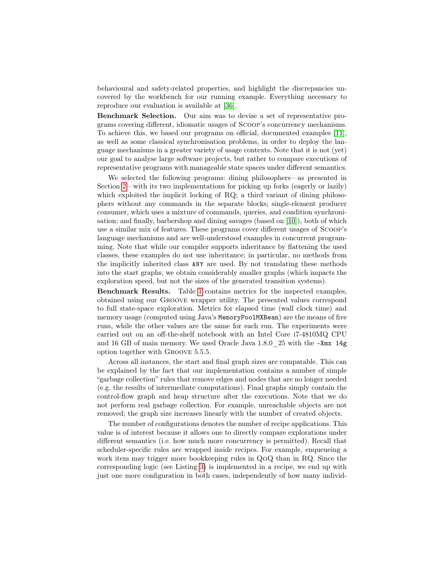behavioural and safety-related properties, and highlight the discrepancies uncovered by the workbench for our running example. Everything necessary to reproduce our evaluation is available at [\[36\]](#page-16-9).

Benchmark Selection. Our aim was to devise a set of representative programs covering different, idiomatic usages of Scoop's concurrency mechanisms. To achieve this, we based our programs on official, documented examples [\[11\]](#page-15-2), as well as some classical synchronisation problems, in order to deploy the language mechanisms in a greater variety of usage contexts. Note that it is not (yet) our goal to analyse large software projects, but rather to compare executions of representative programs with manageable state spaces under different semantics.

We selected the following programs: dining philosophers—as presented in Section [2—](#page-2-0)with its two implementations for picking up forks (eagerly or lazily) which exploited the implicit locking of RQ; a third variant of dining philosophers without any commands in the separate blocks; single-element producer consumer, which uses a mixture of commands, queries, and condition synchronisation; and finally, barbershop and dining savages (based on [\[10\]](#page-15-10)), both of which use a similar mix of features. These programs cover different usages of Scoop's language mechanisms and are well-understood examples in concurrent programming. Note that while our compiler supports inheritance by flattening the used classes, these examples do not use inheritance; in particular, no methods from the implicitly inherited class ANY are used. By not translating these methods into the start graphs, we obtain considerably smaller graphs (which impacts the exploration speed, but not the sizes of the generated transition systems).

Benchmark Results. Table [1](#page-11-0) contains metrics for the inspected examples, obtained using our Groove wrapper utility. The presented values correspond to full state-space exploration. Metrics for elapsed time (wall clock time) and memory usage (computed using Java's MemoryPoolMXBean) are the means of five runs, while the other values are the same for each run. The experiments were carried out on an off-the-shelf notebook with an Intel Core i7-4810MQ CPU and 16 GB of main memory. We used Oracle Java 1.8.0\_25 with the -Xmx 14g option together with Groove 5.5.5.

Across all instances, the start and final graph sizes are comparable. This can be explained by the fact that our implementation contains a number of simple "garbage collection" rules that remove edges and nodes that are no longer needed (e.g. the results of intermediate computations). Final graphs simply contain the control-flow graph and heap structure after the executions. Note that we do not perform real garbage collection. For example, unreachable objects are not removed; the graph size increases linearly with the number of created objects.

The number of configurations denotes the number of recipe applications. This value is of interest because it allows one to directly compare explorations under different semantics (i.e. how much more concurrency is permitted). Recall that scheduler-specific rules are wrapped inside recipes. For example, enqueueing a work item may trigger more bookkeeping rules in QoQ than in RQ. Since the corresponding logic (see Listing [3\)](#page-7-1) is implemented in a recipe, we end up with just one more configuration in both cases, independently of how many individ-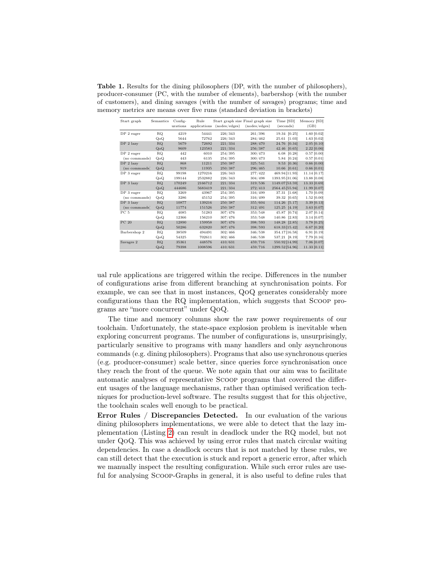<span id="page-11-0"></span>Table 1. Results for the dining philosophers (DP, with the number of philosophers), producer-consumer (PC, with the number of elements), barbershop (with the number of customers), and dining savages (with the number of savages) programs; time and memory metrics are means over five runs (standard deviation in brackets)

| Start graph           | Semantics   | Config-  | Rule         |               | Start graph size Final graph size | Time [SD]       | Memory [SD]   |
|-----------------------|-------------|----------|--------------|---------------|-----------------------------------|-----------------|---------------|
|                       |             | urations | applications | (nodes/edges) | (nodes/edges)                     | (seconds)       | (GB)          |
| DP 2 eager            | RQ.         | 4219     | 54441        | 226/343       | 261/396                           | 19.34 [0.25]    | 1.60 [0.02]   |
|                       | QoQ         | 5644     | 72762        | 226/343       | 284/462                           | [1.03]<br>25.61 | 1.63 [0.02]   |
| DP 2 lazy             | RQ          | 5679     | 72692        | 221/334       | 288/470                           | [0.34]<br>24.76 | 2.05 [0.10]   |
|                       | QoQ         | 9609     | 123583       | 221/334       | 256/387                           | 42.46<br>[0.65] | $2.22$ [0.06] |
| DP <sub>2</sub> eager | RQ.         | 442      | 6010         | 254/395       | 300/473                           | [0.28]<br>6.08  | $0.57$ [0.00] |
| (no commands)         | QoQ         | 443      | 6135         | 254/395       | 300/473                           | 5.84 [0.24]     | $0.57$ [0.01] |
| DP 2 lazy             | RQ          | 868      | 11211        | 250/387       | 325/541                           | 9.53 [0.36]     | $0.66$ [0.00] |
| (no commands)         | QoQ         | 919      | 11935        | 250/387       | 296/465                           | 10.66 [0.61]    | $0.66$ [0.01] |
| DP 3 eager            | $_{\rm RQ}$ | 99198    | 1270216      | 226/343       | 277/422                           | 469.94 [11.93]  | 11.14 [0.17]  |
|                       | QoQ         | 199144   | 2532882      | 226/343       | 304/498                           | 1393.95 [31.06] | 13.88 [0.08]  |
| DP 3 lazy             | RQ          | 170249   | 2166712      | 221/334       | 319/536                           | 1149.07 [53.59] | 13.33 [0.69]  |
|                       | QoQ         | 444686   | 5683419      | 221/334       | 272/413                           | 2564.45 [55.94] | 11.99 [0.07]  |
| DP 3 eager            | RQ.         | 3269     | 43967        | 254/395       | 316/499                           | 37.31 [1.68]    | 1.70 [0.09]   |
| (no commands)         | QoQ         | 3286     | 45152        | 254/395       | 316/499                           | 39.32 [0.65]    | 1.52 [0.00]   |
| DP 3 lazy             | RQ          | 10877    | 139216       | 250/387       | 355/604                           | 114.26 [5.17]   | $3.39$ [0.13] |
| (no commands)         | QoQ         | 11774    | 151526       | 250/387       | 312/491                           | 125.25 [4.19]   | 3.63 [0.07]   |
| PC 5                  | RQ.         | 4085     | 51283        | 307/476       | 353/548                           | [0.74]<br>45.87 | $2.07$ [0.14] |
|                       | QoQ         | 12366    | 156210       | 307/476       | 353/548                           | 140.86 [2.83]   | 3.14 [0.07]   |
| <b>PC 20</b>          | RQ          | 12890    | 159958       | 307/476       | 398/593                           | 148.28 [2.85]   | 3.78 [0.25]   |
|                       | QoQ         | 50286    | 632820       | 307/476       | 398/593                           | 618.33 [15.42]  | 6.67 [0.20]   |
| Barbershop 2          | RQ.         | 38509    | 494491       | 302/466       | 346/538                           | 354.17 [16.58]  | 6.91 [0.19]   |
|                       | QoQ         | 54325    | 702611       | 302/466       | 346/538                           | 537.21 [8.19]   | 7.79 [0.16]   |
| Savages 2             | RQ          | 35361    | 448576       | 410/631       | 459/716                           | 550.92 [14.99]  | 7.06 [0.07]   |
|                       | QoQ         | 79398    | 1008596      | 410/631       | 459/716                           | 1299.52 [54.96] | 11.33 [0.11]  |

ual rule applications are triggered within the recipe. Differences in the number of configurations arise from different branching at synchronisation points. For example, we can see that in most instances, QoQ generates considerably more configurations than the RQ implementation, which suggests that Scoop programs are "more concurrent" under QoQ.

The time and memory columns show the raw power requirements of our toolchain. Unfortunately, the state-space explosion problem is inevitable when exploring concurrent programs. The number of configurations is, unsurprisingly, particularly sensitive to programs with many handlers and only asynchronous commands (e.g. dining philosophers). Programs that also use synchronous queries (e.g. producer-consumer) scale better, since queries force synchronisation once they reach the front of the queue. We note again that our aim was to facilitate automatic analyses of representative Scoop programs that covered the different usages of the language mechanisms, rather than optimised verification techniques for production-level software. The results suggest that for this objective, the toolchain scales well enough to be practical.

Error Rules / Discrepancies Detected. In our evaluation of the various dining philosophers implementations, we were able to detect that the lazy implementation (Listing [2\)](#page-4-3) can result in deadlock under the RQ model, but not under QoQ. This was achieved by using error rules that match circular waiting dependencies. In case a deadlock occurs that is not matched by these rules, we can still detect that the execution is stuck and report a generic error, after which we manually inspect the resulting configuration. While such error rules are useful for analysing Scoop-Graphs in general, it is also useful to define rules that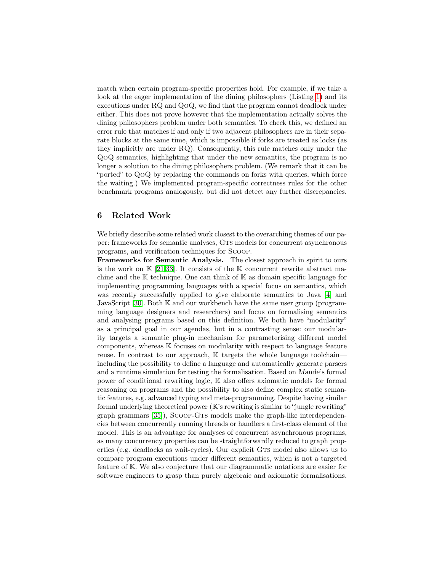match when certain program-specific properties hold. For example, if we take a look at the eager implementation of the dining philosophers (Listing [1\)](#page-4-2) and its executions under RQ and QoQ, we find that the program cannot deadlock under either. This does not prove however that the implementation actually solves the dining philosophers problem under both semantics. To check this, we defined an error rule that matches if and only if two adjacent philosophers are in their separate blocks at the same time, which is impossible if forks are treated as locks (as they implicitly are under RQ). Consequently, this rule matches only under the QoQ semantics, highlighting that under the new semantics, the program is no longer a solution to the dining philosophers problem. (We remark that it can be "ported" to QoQ by replacing the commands on forks with queries, which force the waiting.) We implemented program-specific correctness rules for the other benchmark programs analogously, but did not detect any further discrepancies.

#### <span id="page-12-0"></span>6 Related Work

We briefly describe some related work closest to the overarching themes of our paper: frameworks for semantic analyses, Gts models for concurrent asynchronous programs, and verification techniques for Scoop.

Frameworks for Semantic Analysis. The closest approach in spirit to ours is the work on  $\mathbb{K}$  [\[21](#page-16-12)[,33\]](#page-16-13). It consists of the  $\mathbb{K}$  concurrent rewrite abstract machine and the  $K$  technique. One can think of  $K$  as domain specific language for implementing programming languages with a special focus on semantics, which was recently successfully applied to give elaborate semantics to Java [\[4\]](#page-15-11) and JavaScript [\[30\]](#page-16-14). Both K and our workbench have the same user group (programming language designers and researchers) and focus on formalising semantics and analysing programs based on this definition. We both have "modularity" as a principal goal in our agendas, but in a contrasting sense: our modularity targets a semantic plug-in mechanism for parameterising different model components, whereas K focuses on modularity with respect to language feature reuse. In contrast to our approach, K targets the whole language toolchainincluding the possibility to define a language and automatically generate parsers and a runtime simulation for testing the formalisation. Based on Maude's formal power of conditional rewriting logic, K also offers axiomatic models for formal reasoning on programs and the possibility to also define complex static semantic features, e.g. advanced typing and meta-programming. Despite having similar formal underlying theoretical power (K's rewriting is similar to "jungle rewriting" graph grammars [\[35\]](#page-16-15)), SCOOP-GTS models make the graph-like interdependencies between concurrently running threads or handlers a first-class element of the model. This is an advantage for analyses of concurrent asynchronous programs, as many concurrency properties can be straightforwardly reduced to graph properties (e.g. deadlocks as wait-cycles). Our explicit GTs model also allows us to compare program executions under different semantics, which is not a targeted feature of K. We also conjecture that our diagrammatic notations are easier for software engineers to grasp than purely algebraic and axiomatic formalisations.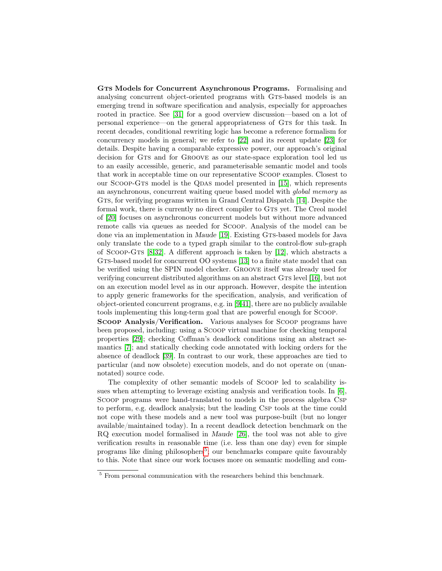GTS Models for Concurrent Asynchronous Programs. Formalising and analysing concurrent object-oriented programs with GTS-based models is an emerging trend in software specification and analysis, especially for approaches rooted in practice. See [\[31\]](#page-16-8) for a good overview discussion—based on a lot of personal experience—on the general appropriateness of GTs for this task. In recent decades, conditional rewriting logic has become a reference formalism for concurrency models in general; we refer to [\[22\]](#page-16-16) and its recent update [\[23\]](#page-16-17) for details. Despite having a comparable expressive power, our approach's original decision for GTS and for GROOVE as our state-space exploration tool led us to an easily accessible, generic, and parameterisable semantic model and tools that work in acceptable time on our representative Scoop examples. Closest to our Scoop-Gts model is the QDAS model presented in [\[15\]](#page-15-9), which represents an asynchronous, concurrent waiting queue based model with *global memory* as GTS, for verifying programs written in Grand Central Dispatch [\[14\]](#page-15-0). Despite the formal work, there is currently no direct compiler to GTS yet. The Creol model of [\[20\]](#page-16-18) focuses on asynchronous concurrent models but without more advanced remote calls via queues as needed for Scoop. Analysis of the model can be done via an implementation in *Maude* [\[19\]](#page-15-12). Existing GTS-based models for Java only translate the code to a typed graph similar to the control-flow sub-graph of Scoop-Gts [\[8,](#page-15-13)[32\]](#page-16-19). A different approach is taken by [\[12\]](#page-15-14), which abstracts a GTS-based model for concurrent OO systems [\[13\]](#page-15-15) to a finite state model that can be verified using the SPIN model checker. Groove itself was already used for verifying concurrent distributed algorithms on an abstract GTs level [\[16\]](#page-15-4), but not on an execution model level as in our approach. However, despite the intention to apply generic frameworks for the specification, analysis, and verification of object-oriented concurrent programs, e.g. in [\[9](#page-15-16)[,41\]](#page-16-20), there are no publicly available tools implementing this long-term goal that are powerful enough for Scoop.

Scoop Analysis/Verification. Various analyses for Scoop programs have been proposed, including: using a Scoop virtual machine for checking temporal properties [\[29\]](#page-16-7); checking Coffman's deadlock conditions using an abstract semantics [\[7\]](#page-15-17); and statically checking code annotated with locking orders for the absence of deadlock [\[39\]](#page-16-21). In contrast to our work, these approaches are tied to particular (and now obsolete) execution models, and do not operate on (unannotated) source code.

The complexity of other semantic models of Scoop led to scalability issues when attempting to leverage existing analysis and verification tools. In [\[6\]](#page-15-1), Scoop programs were hand-translated to models in the process algebra Csp to perform, e.g. deadlock analysis; but the leading Csp tools at the time could not cope with these models and a new tool was purpose-built (but no longer available/maintained today). In a recent deadlock detection benchmark on the RQ execution model formalised in Maude [\[26\]](#page-16-3), the tool was not able to give verification results in reasonable time (i.e. less than one day) even for simple programs like dining philosophers<sup>[5](#page-13-0)</sup>; our benchmarks compare quite favourably to this. Note that since our work focuses more on semantic modelling and com-

<span id="page-13-0"></span> $^5$  From personal communication with the researchers behind this benchmark.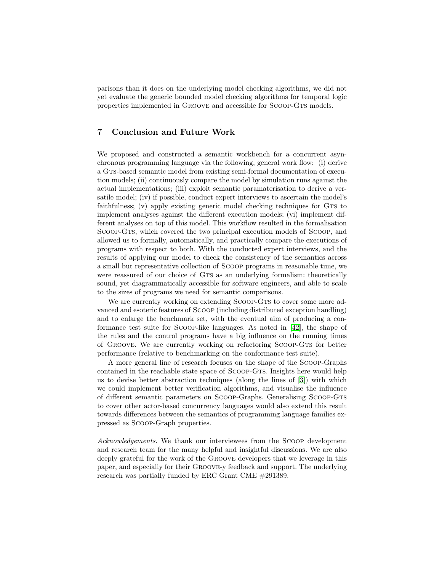parisons than it does on the underlying model checking algorithms, we did not yet evaluate the generic bounded model checking algorithms for temporal logic properties implemented in GROOVE and accessible for SCOOP-GTS models.

# <span id="page-14-0"></span>7 Conclusion and Future Work

We proposed and constructed a semantic workbench for a concurrent asynchronous programming language via the following, general work flow: (i) derive a Gts-based semantic model from existing semi-formal documentation of execution models; (ii) continuously compare the model by simulation runs against the actual implementations; (iii) exploit semantic paramaterisation to derive a versatile model; (iv) if possible, conduct expert interviews to ascertain the model's faithfulness;  $(v)$  apply existing generic model checking techniques for GTs to implement analyses against the different execution models; (vi) implement different analyses on top of this model. This workflow resulted in the formalisation Scoop-Gts, which covered the two principal execution models of Scoop, and allowed us to formally, automatically, and practically compare the executions of programs with respect to both. With the conducted expert interviews, and the results of applying our model to check the consistency of the semantics across a small but representative collection of Scoop programs in reasonable time, we were reassured of our choice of Gts as an underlying formalism: theoretically sound, yet diagrammatically accessible for software engineers, and able to scale to the sizes of programs we need for semantic comparisons.

We are currently working on extending SCOOP-GTs to cover some more advanced and esoteric features of Scoop (including distributed exception handling) and to enlarge the benchmark set, with the eventual aim of producing a conformance test suite for Scoop-like languages. As noted in [\[42\]](#page-16-22), the shape of the rules and the control programs have a big influence on the running times of GROOVE. We are currently working on refactoring SCOOP-GTS for better performance (relative to benchmarking on the conformance test suite).

A more general line of research focuses on the shape of the Scoop-Graphs contained in the reachable state space of SCOOP-GTS. Insights here would help us to devise better abstraction techniques (along the lines of [\[3\]](#page-15-18)) with which we could implement better verification algorithms, and visualise the influence of different semantic parameters on Scoop-Graphs. Generalising Scoop-Gts to cover other actor-based concurrency languages would also extend this result towards differences between the semantics of programming language families expressed as Scoop-Graph properties.

Acknowledgements. We thank our interviewees from the Scoop development and research team for the many helpful and insightful discussions. We are also deeply grateful for the work of the Groove developers that we leverage in this paper, and especially for their Groove-y feedback and support. The underlying research was partially funded by ERC Grant CME #291389.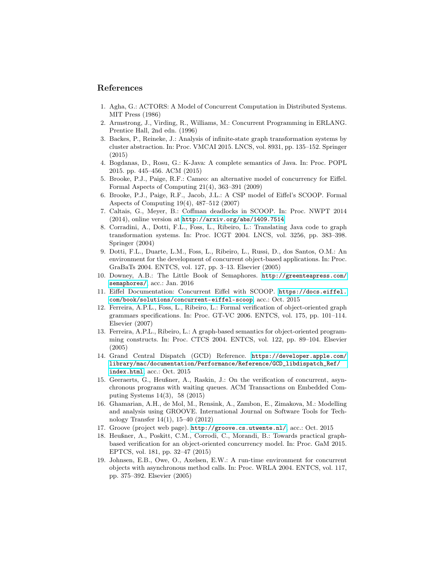#### References

- <span id="page-15-5"></span>1. Agha, G.: ACTORS: A Model of Concurrent Computation in Distributed Systems. MIT Press (1986)
- <span id="page-15-6"></span>2. Armstrong, J., Virding, R., Williams, M.: Concurrent Programming in ERLANG. Prentice Hall, 2nd edn. (1996)
- <span id="page-15-18"></span>3. Backes, P., Reineke, J.: Analysis of infinite-state graph transformation systems by cluster abstraction. In: Proc. VMCAI 2015. LNCS, vol. 8931, pp. 135–152. Springer (2015)
- <span id="page-15-11"></span>4. Bogdanas, D., Rosu, G.: K-Java: A complete semantics of Java. In: Proc. POPL 2015. pp. 445–456. ACM (2015)
- <span id="page-15-8"></span>5. Brooke, P.J., Paige, R.F.: Cameo: an alternative model of concurrency for Eiffel. Formal Aspects of Computing 21(4), 363–391 (2009)
- <span id="page-15-1"></span>6. Brooke, P.J., Paige, R.F., Jacob, J.L.: A CSP model of Eiffel's SCOOP. Formal Aspects of Computing 19(4), 487–512 (2007)
- <span id="page-15-17"></span>7. Caltais, G., Meyer, B.: Coffman deadlocks in SCOOP. In: Proc. NWPT 2014 (2014), online version at <http://arxiv.org/abs/1409.7514>
- <span id="page-15-13"></span>8. Corradini, A., Dotti, F.L., Foss, L., Ribeiro, L.: Translating Java code to graph transformation systems. In: Proc. ICGT 2004. LNCS, vol. 3256, pp. 383–398. Springer (2004)
- <span id="page-15-16"></span>9. Dotti, F.L., Duarte, L.M., Foss, L., Ribeiro, L., Russi, D., dos Santos, O.M.: An environment for the development of concurrent object-based applications. In: Proc. GraBaTs 2004. ENTCS, vol. 127, pp. 3–13. Elsevier (2005)
- <span id="page-15-10"></span>10. Downey, A.B.: The Little Book of Semaphores. [http://greenteapress.com/](http://greenteapress.com/semaphores/) [semaphores/](http://greenteapress.com/semaphores/), acc.: Jan. 2016
- <span id="page-15-2"></span>11. Eiffel Documentation: Concurrent Eiffel with SCOOP. [https://docs.eiffel.](https://docs.eiffel.com/book/solutions/concurrent-eiffel-scoop) [com/book/solutions/concurrent-eiffel-scoop](https://docs.eiffel.com/book/solutions/concurrent-eiffel-scoop), acc.: Oct. 2015
- <span id="page-15-14"></span>12. Ferreira, A.P.L., Foss, L., Ribeiro, L.: Formal verification of object-oriented graph grammars specifications. In: Proc. GT-VC 2006. ENTCS, vol. 175, pp. 101–114. Elsevier (2007)
- <span id="page-15-15"></span>13. Ferreira, A.P.L., Ribeiro, L.: A graph-based semantics for object-oriented programming constructs. In: Proc. CTCS 2004. ENTCS, vol. 122, pp. 89–104. Elsevier (2005)
- <span id="page-15-0"></span>14. Grand Central Dispatch (GCD) Reference. [https://developer.apple.com/](https://developer.apple.com/library/mac/documentation/Performance/Reference/GCD_libdispatch_Ref/index.html) [library/mac/documentation/Performance/Reference/GCD\\_libdispatch\\_Ref/](https://developer.apple.com/library/mac/documentation/Performance/Reference/GCD_libdispatch_Ref/index.html) [index.html](https://developer.apple.com/library/mac/documentation/Performance/Reference/GCD_libdispatch_Ref/index.html), acc.: Oct. 2015
- <span id="page-15-9"></span>15. Geeraerts, G., Heußner, A., Raskin, J.: On the verification of concurrent, asynchronous programs with waiting queues. ACM Transactions on Embedded Computing Systems 14(3), 58 (2015)
- <span id="page-15-4"></span>16. Ghamarian, A.H., de Mol, M., Rensink, A., Zambon, E., Zimakova, M.: Modelling and analysis using GROOVE. International Journal on Software Tools for Technology Transfer 14(1), 15–40 (2012)
- <span id="page-15-7"></span>17. Groove (project web page). <http://groove.cs.utwente.nl/>, acc.: Oct. 2015
- <span id="page-15-3"></span>18. Heußner, A., Poskitt, C.M., Corrodi, C., Morandi, B.: Towards practical graphbased verification for an object-oriented concurrency model. In: Proc. GaM 2015. EPTCS, vol. 181, pp. 32–47 (2015)
- <span id="page-15-12"></span>19. Johnsen, E.B., Owe, O., Axelsen, E.W.: A run-time environment for concurrent objects with asynchronous method calls. In: Proc. WRLA 2004. ENTCS, vol. 117, pp. 375–392. Elsevier (2005)